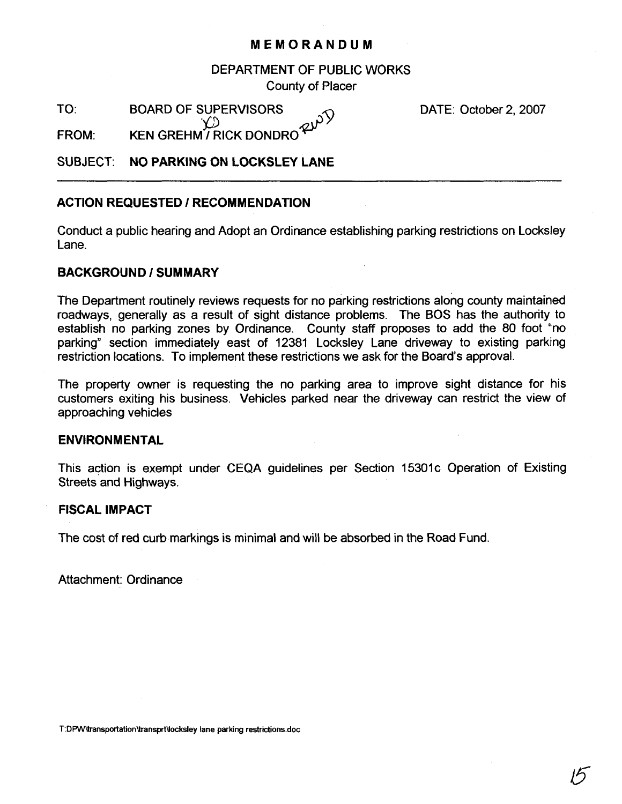## **MEMORANDUM**

DEPARTMENT OF PUBLIC WORKS County of Placer

TO: BOARD OF SUPERVISORS<br>  $\bigcirc$ 

DATE: October 2, 2007

FROM: KEN GREHM / RICK DONDRO<sup>22</sup>

# SUBJECT: **NO PARKING ON LOCKSLEY LANE**

## **ACTION REQUESTED I RECOMMENDATION**

Conduct a public hearing and Adopt an Ordinance establishing parking restrictions on Locksley Lane.

## **BACKGROUND I SUMMARY**

The Department routinely reviews requests for no parking restrictions along county maintained roadways, generally as a result of sight distance problems. The BOS has the authority to establish no parking zones by Ordinance. County staff proposes to add the 80 foot "no parking" section immediately east of 12381 Locksley Lane driveway to existing parking restriction locations. To implement these restrictions we ask for the Board's approval.

The property owner is requesting the no parking area to improve sight distance for his customers exiting his business. Vehicles parked near the driveway can restrict the view of approaching vehicles

### **ENVIRONMENTAL**

This action is exempt under CEQA guidelines per Section 15301c Operation of Existing Streets and Highways.

## **FISCAL IMPACT**

The cost of red curb markings is minimal and will be absorbed in the Road Fund.

Attachment: Ordinance

**T:DPW\transportationUransprtUocksley lane parking restrictions.doc**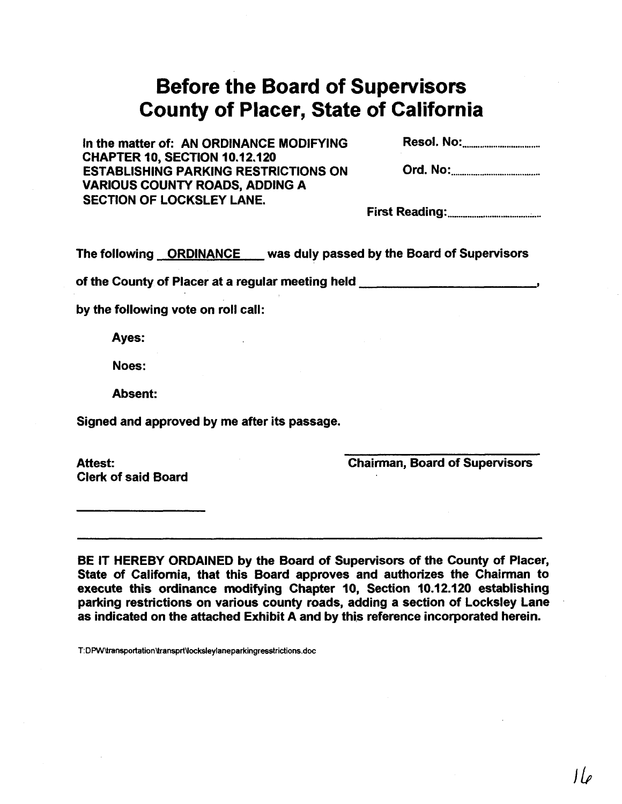# **Before the Board of Supervisors County of Placer, State of California**

In the matter of: AN ORDINANCE MODIFYING Resol- No: ................................... CHAPTER 10, SECTION 10.12.120 ESTABLISHING PARKING RESTRICTIONS ON VARIOUS COUNTY ROADS, ADDING A SECTION OF LOCKSLEY LANE.

First Reading: ..........................................

The following **ORDINANCE** was duly passed by the Board of Supervisors

of the County of Placer at a regular meeting held **<sup>I</sup>**

by the following vote on roll call:

Ayes:

Noes:

Absent:

Signed and approved by me after its passage.

Attest: Clerk of said Board Chairman, Board of Supervisors

BE IT HEREBY ORDAINED by the Board of Supervisors of the County of Placer, State of California, that this Board approves and authorizes the Chairman to execute this ordinance modifying Chapter 10, Section 10.12.120 establishing parking restrictions on various county roads, adding a section of Locksley Lane as indicated on the attached Exhibit A and by this reference incorporated herein.

T:DPW\transportation\transprt\locksleylaneparkingresstrictions.doc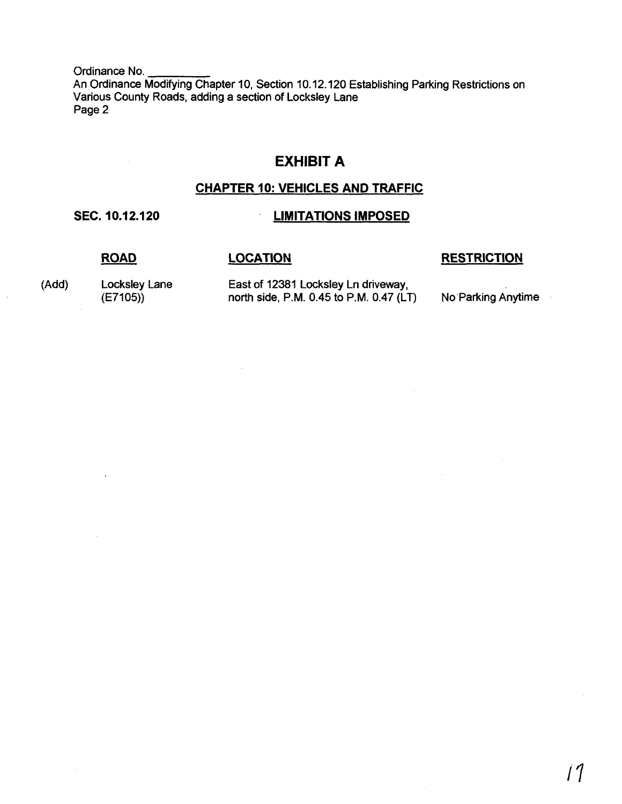Ordinance No. An Ordinance Modifying Chapter 10, Section 10.12.120 Establishing Parking Restrictions on Various County Roads, adding a section of Locksley Lane Page 2

# **EXHIBIT A**

# **CHAPTER 10: VEHICLES AND TRAFFIC**

# **SEC. 10.12.120 LIMITATIONS IMPOSED**

**ROAD LOCATION RESTRICTION** 

(Add) Locksley Lane East of 12381 Locksley Ln driveway,<br>(E7105)) north side, P.M. 0.45 to P.M. 0.47 (LT) No Parking Anytime